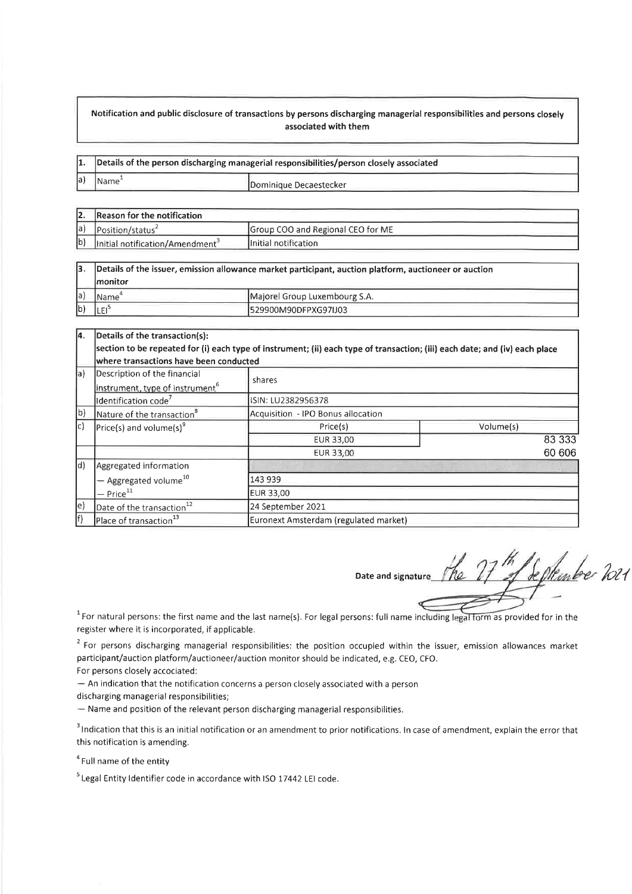## Notification and public disclosure of transactions by persons discharging managerial responsibilities and persons closely associated with them

| $\mathbf{1}$ . | Details of the person discharging managerial responsibilities/person closely associated |                         |  |
|----------------|-----------------------------------------------------------------------------------------|-------------------------|--|
| la)            | Name <sup>®</sup>                                                                       | IDominique Decaestecker |  |

|     | Reason for the notification                 |                                   |  |
|-----|---------------------------------------------|-----------------------------------|--|
| la) | Position/status                             | Group COO and Regional CEO for ME |  |
| lb) | Initial notification/Amendment <sup>3</sup> | Initial notification              |  |

| 13.         | Details of the issuer, emission allowance market participant, auction platform, auctioneer or auction |                               |  |
|-------------|-------------------------------------------------------------------------------------------------------|-------------------------------|--|
|             | <i>Imonitor</i>                                                                                       |                               |  |
| la)         | 'Name                                                                                                 | Majorel Group Luxembourg S.A. |  |
| $ b\rangle$ |                                                                                                       | I529900M90DFPXG97IJ03         |  |

| 14.                                                                            | Details of the transaction(s):                                                                                              |                                       |           |  |  |  |
|--------------------------------------------------------------------------------|-----------------------------------------------------------------------------------------------------------------------------|---------------------------------------|-----------|--|--|--|
|                                                                                | section to be repeated for (i) each type of instrument; (ii) each type of transaction; (iii) each date; and (iv) each place |                                       |           |  |  |  |
|                                                                                | where transactions have been conducted                                                                                      |                                       |           |  |  |  |
| a)                                                                             | Description of the financial                                                                                                | shares                                |           |  |  |  |
|                                                                                | instrument, type of instrument <sup>6</sup>                                                                                 |                                       |           |  |  |  |
|                                                                                | Identification code <sup>7</sup>                                                                                            | ISIN: LU2382956378                    |           |  |  |  |
| b)                                                                             | Nature of the transaction <sup>8</sup>                                                                                      | Acquisition - IPO Bonus allocation    |           |  |  |  |
| lc)                                                                            | $\left \text{Price}(s) \text{ and volume}(s)\right $                                                                        | Price(s)                              | Volume(s) |  |  |  |
|                                                                                |                                                                                                                             | EUR 33,00                             | 83 333    |  |  |  |
|                                                                                |                                                                                                                             | EUR 33,00                             | 60 60 6   |  |  |  |
| d)<br>Aggregated information<br>$-$ Aggregated volume <sup>10</sup><br>143 939 |                                                                                                                             |                                       |           |  |  |  |
|                                                                                |                                                                                                                             |                                       |           |  |  |  |
|                                                                                | $-$ Price <sup>11</sup>                                                                                                     | <b>EUR 33,00</b>                      |           |  |  |  |
| le)                                                                            | Date of the transaction <sup>12</sup>                                                                                       | 24 September 2021                     |           |  |  |  |
| f)                                                                             | Place of transaction <sup>13</sup>                                                                                          | Euronext Amsterdam (regulated market) |           |  |  |  |

,î Date and signature September 2021

 $1$ For natural persons: the first name and the last name(s). For legal persons: full name including legal form as provided for in the register where it is incorporated, if applicable.

 $2$  For persons discharging managerial responsibilities: the position occupied within the issuer, emission allowances market participant/auction platform/auctioneer/auction monitor should be indicated, e.g. CEO, CFO. For persons closely accociated:

 $-$  An indication that the notification concerns a person closely associated with a person

discharging managerial responsibilities;

- Name and position of the relevant person discharging managerial responsibilities.

<sup>3</sup> Indication that this is an initial notification or an amendment to prior notifications. In case of amendment, explain the error that this notification is amending.

<sup>4</sup> Full name of the entity

 $5$  Legal Entity Identifier code in accordance with ISO 17442 LEI code.